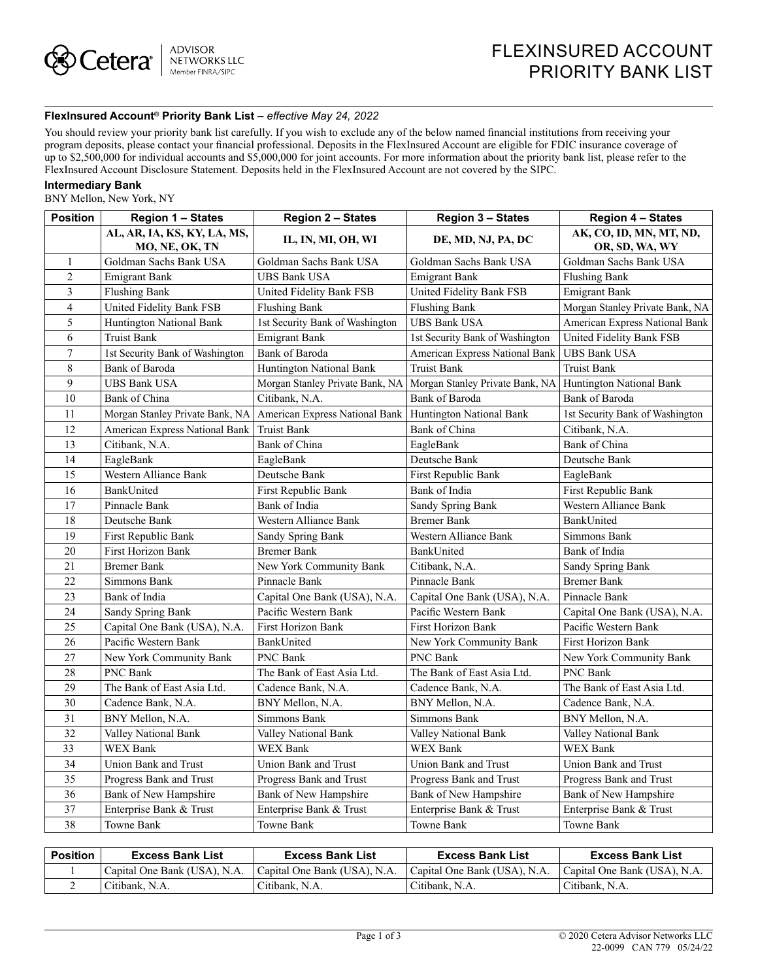## **FlexInsured Account® Priority Bank List** *– effective May 24, 2022*

You should review your priority bank list carefully. If you wish to exclude any of the below named financial institutions from receiving your program deposits, please contact your financial professional. Deposits in the FlexInsured Account are eligible for FDIC insurance coverage of up to \$2,500,000 for individual accounts and \$5,000,000 for joint accounts. For more information about the priority bank list, please refer to the FlexInsured Account Disclosure Statement. Deposits held in the FlexInsured Account are not covered by the SIPC.

## **Intermediary Bank**

BNY Mellon, New York, NY

| <b>Position</b> | <b>Region 1 - States</b>                                         | Region 2 - States               | Region 3 - States               | <b>Region 4 - States</b>                  |  |
|-----------------|------------------------------------------------------------------|---------------------------------|---------------------------------|-------------------------------------------|--|
|                 | AL, AR, IA, KS, KY, LA, MS,<br>MO, NE, OK, TN                    | IL, IN, MI, OH, WI              | DE, MD, NJ, PA, DC              | AK, CO, ID, MN, MT, ND,<br>OR, SD, WA, WY |  |
| $\mathbf{1}$    | Goldman Sachs Bank USA                                           | Goldman Sachs Bank USA          | Goldman Sachs Bank USA          | Goldman Sachs Bank USA                    |  |
| $\overline{2}$  | Emigrant Bank                                                    | UBS Bank USA                    | Emigrant Bank                   | Flushing Bank                             |  |
| 3               | Flushing Bank                                                    | United Fidelity Bank FSB        | United Fidelity Bank FSB        | <b>Emigrant Bank</b>                      |  |
| $\overline{4}$  | United Fidelity Bank FSB                                         | <b>Flushing Bank</b>            | <b>Flushing Bank</b>            | Morgan Stanley Private Bank, NA           |  |
| 5               | Huntington National Bank                                         | 1st Security Bank of Washington | <b>UBS Bank USA</b>             | American Express National Bank            |  |
| 6               | <b>Truist Bank</b>                                               | <b>Emigrant Bank</b>            | 1st Security Bank of Washington | United Fidelity Bank FSB                  |  |
| $\overline{7}$  | 1st Security Bank of Washington                                  | Bank of Baroda                  | American Express National Bank  | UBS Bank USA                              |  |
| 8               | Bank of Baroda                                                   | Huntington National Bank        | <b>Truist Bank</b>              | <b>Truist Bank</b>                        |  |
| 9               | <b>UBS Bank USA</b>                                              | Morgan Stanley Private Bank, NA | Morgan Stanley Private Bank, NA | Huntington National Bank                  |  |
| 10              | Bank of China                                                    | Citibank, N.A.                  | Bank of Baroda                  | Bank of Baroda                            |  |
| 11              | Morgan Stanley Private Bank, NA   American Express National Bank |                                 | <b>Huntington National Bank</b> | 1st Security Bank of Washington           |  |
| 12              | American Express National Bank                                   | <b>Truist Bank</b>              | Bank of China                   | Citibank, N.A.                            |  |
| 13              | Citibank, N.A.                                                   | Bank of China                   | EagleBank                       | Bank of China                             |  |
| 14              | EagleBank                                                        | EagleBank                       | Deutsche Bank                   | Deutsche Bank                             |  |
| 15              | Western Alliance Bank                                            | Deutsche Bank                   | First Republic Bank             | EagleBank                                 |  |
| 16              | BankUnited                                                       | First Republic Bank             | Bank of India                   | First Republic Bank                       |  |
| 17              | Pinnacle Bank                                                    | Bank of India                   | Sandy Spring Bank               | Western Alliance Bank                     |  |
| 18              | Deutsche Bank                                                    | Western Alliance Bank           | <b>Bremer Bank</b>              | BankUnited                                |  |
| 19              | First Republic Bank                                              | Sandy Spring Bank               | Western Alliance Bank           | Simmons Bank                              |  |
| 20              | First Horizon Bank                                               | <b>Bremer Bank</b>              | BankUnited                      | Bank of India                             |  |
| 21              | <b>Bremer Bank</b>                                               | New York Community Bank         | Citibank, N.A.                  | Sandy Spring Bank                         |  |
| 22              | Simmons Bank                                                     | Pinnacle Bank                   | Pinnacle Bank                   | <b>Bremer Bank</b>                        |  |
| 23              | Bank of India                                                    | Capital One Bank (USA), N.A.    | Capital One Bank (USA), N.A.    | Pinnacle Bank                             |  |
| 24              | Sandy Spring Bank                                                | Pacific Western Bank            | Pacific Western Bank            | Capital One Bank (USA), N.A.              |  |
| 25              | Capital One Bank (USA), N.A.                                     | First Horizon Bank              | First Horizon Bank              | Pacific Western Bank                      |  |
| 26              | Pacific Western Bank                                             | BankUnited                      | New York Community Bank         | First Horizon Bank                        |  |
| 27              | New York Community Bank                                          | PNC Bank                        | PNC Bank                        | New York Community Bank                   |  |
| 28              | <b>PNC Bank</b>                                                  | The Bank of East Asia Ltd.      | The Bank of East Asia Ltd.      | <b>PNC Bank</b>                           |  |
| 29              | The Bank of East Asia Ltd.                                       | Cadence Bank, N.A.              | Cadence Bank, N.A.              | The Bank of East Asia Ltd.                |  |
| 30              | Cadence Bank, N.A.                                               | BNY Mellon, N.A.                | BNY Mellon, N.A.                | Cadence Bank, N.A.                        |  |
| 31              | BNY Mellon, N.A.                                                 | Simmons Bank                    | Simmons Bank                    | BNY Mellon, N.A.                          |  |
| 32              | Valley National Bank                                             | Valley National Bank            | Valley National Bank            | Valley National Bank                      |  |
| 33              | WEX Bank                                                         | WEX Bank                        | WEX Bank                        | WEX Bank                                  |  |
| 34              | Union Bank and Trust                                             | Union Bank and Trust            | Union Bank and Trust            | Union Bank and Trust                      |  |
| 35              | Progress Bank and Trust                                          | Progress Bank and Trust         | Progress Bank and Trust         | Progress Bank and Trust                   |  |
| 36              | Bank of New Hampshire                                            | Bank of New Hampshire           | Bank of New Hampshire           | Bank of New Hampshire                     |  |
| 37              | Enterprise Bank & Trust                                          | Enterprise Bank & Trust         | Enterprise Bank & Trust         | Enterprise Bank & Trust                   |  |
| 38              | Towne Bank                                                       | Towne Bank                      | Towne Bank                      | Towne Bank                                |  |

| <b>Position</b> | <b>Excess Bank List</b>      | <b>Excess Bank List</b>      | <b>Excess Bank List</b>      | Excess Bank List             |
|-----------------|------------------------------|------------------------------|------------------------------|------------------------------|
|                 | Capital One Bank (USA), N.A. | Capital One Bank (USA), N.A. | Capital One Bank (USA), N.A. | Capital One Bank (USA), N.A. |
|                 | Citibank, N.A.               | Citibank, N.A.               | Citibank, N.A.               | Citibank, N.A.               |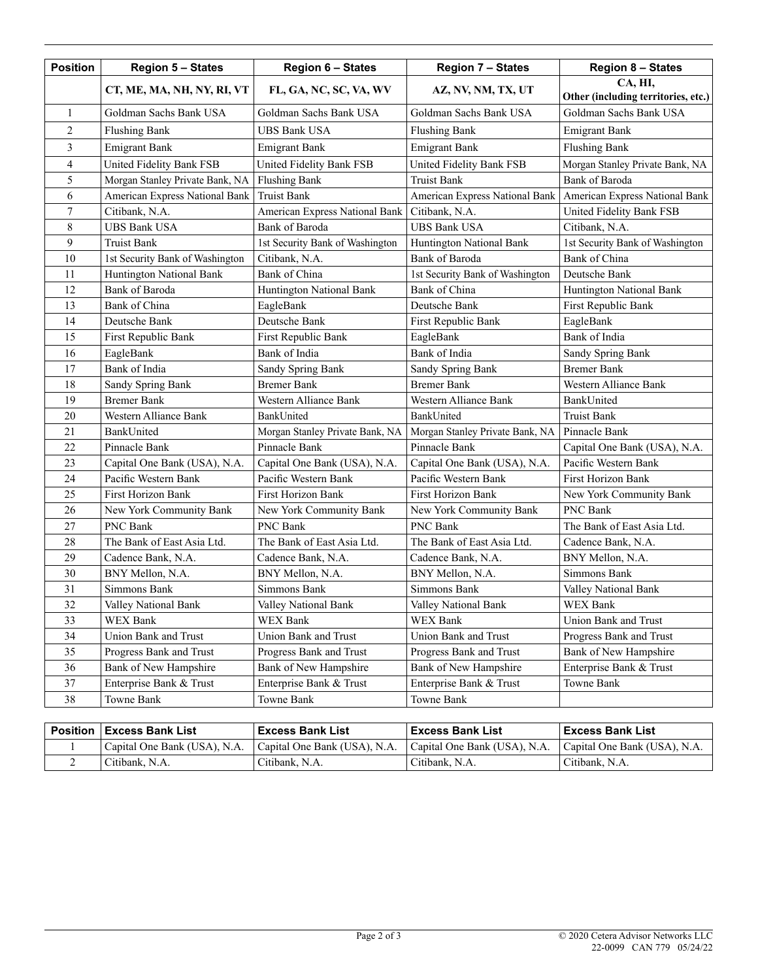| <b>Position</b> | <b>Region 5 - States</b>        | <b>Region 6 - States</b>        | <b>Region 7 - States</b>        | <b>Region 8 - States</b>                       |  |
|-----------------|---------------------------------|---------------------------------|---------------------------------|------------------------------------------------|--|
|                 | CT, ME, MA, NH, NY, RI, VT      | FL, GA, NC, SC, VA, WV          | AZ, NV, NM, TX, UT              | CA, HI,<br>Other (including territories, etc.) |  |
| 1               | Goldman Sachs Bank USA          | Goldman Sachs Bank USA          | Goldman Sachs Bank USA          | Goldman Sachs Bank USA                         |  |
| 2               | <b>Flushing Bank</b>            | <b>UBS Bank USA</b>             | <b>Flushing Bank</b>            | <b>Emigrant Bank</b>                           |  |
| 3               | <b>Emigrant Bank</b>            | <b>Emigrant Bank</b>            | <b>Emigrant Bank</b>            | <b>Flushing Bank</b>                           |  |
| $\overline{4}$  | United Fidelity Bank FSB        | United Fidelity Bank FSB        | United Fidelity Bank FSB        | Morgan Stanley Private Bank, NA                |  |
| 5               | Morgan Stanley Private Bank, NA | <b>Flushing Bank</b>            | <b>Truist Bank</b>              | <b>Bank</b> of Baroda                          |  |
| 6               | American Express National Bank  | <b>Truist Bank</b>              | American Express National Bank  | American Express National Bank                 |  |
| 7               | Citibank, N.A.                  | American Express National Bank  | Citibank, N.A.                  | United Fidelity Bank FSB                       |  |
| 8               | <b>UBS Bank USA</b>             | Bank of Baroda                  | <b>UBS Bank USA</b>             | Citibank, N.A.                                 |  |
| 9               | <b>Truist Bank</b>              | 1st Security Bank of Washington | Huntington National Bank        | 1st Security Bank of Washington                |  |
| 10              | 1st Security Bank of Washington | Citibank, N.A.                  | Bank of Baroda                  | Bank of China                                  |  |
| 11              | Huntington National Bank        | Bank of China                   | 1st Security Bank of Washington | Deutsche Bank                                  |  |
| 12              | Bank of Baroda                  | Huntington National Bank        | Bank of China                   | Huntington National Bank                       |  |
| 13              | Bank of China                   | EagleBank                       | Deutsche Bank                   | First Republic Bank                            |  |
| 14              | Deutsche Bank                   | Deutsche Bank                   | First Republic Bank             | EagleBank                                      |  |
| 15              | First Republic Bank             | First Republic Bank             | EagleBank                       | Bank of India                                  |  |
| 16              | EagleBank                       | Bank of India                   | Bank of India                   | Sandy Spring Bank                              |  |
| 17              | Bank of India                   | Sandy Spring Bank               | Sandy Spring Bank               | <b>Bremer Bank</b>                             |  |
| 18              | Sandy Spring Bank               | <b>Bremer Bank</b>              | <b>Bremer Bank</b>              | Western Alliance Bank                          |  |
| 19              | <b>Bremer Bank</b>              | Western Alliance Bank           | Western Alliance Bank           | BankUnited                                     |  |
| 20              | Western Alliance Bank           | BankUnited                      | BankUnited                      | <b>Truist Bank</b>                             |  |
| 21              | BankUnited                      | Morgan Stanley Private Bank, NA | Morgan Stanley Private Bank, NA | Pinnacle Bank                                  |  |
| 22              | Pinnacle Bank                   | Pinnacle Bank                   | Pinnacle Bank                   | Capital One Bank (USA), N.A.                   |  |
| 23              | Capital One Bank (USA), N.A.    | Capital One Bank (USA), N.A.    | Capital One Bank (USA), N.A.    | Pacific Western Bank                           |  |
| 24              | Pacific Western Bank            | Pacific Western Bank            | Pacific Western Bank            | First Horizon Bank                             |  |
| 25              | First Horizon Bank              | First Horizon Bank              | First Horizon Bank              | New York Community Bank                        |  |
| 26              | New York Community Bank         | New York Community Bank         | New York Community Bank         | PNC Bank                                       |  |
| 27              | PNC Bank                        | PNC Bank                        | PNC Bank                        | The Bank of East Asia Ltd.                     |  |
| 28              | The Bank of East Asia Ltd.      | The Bank of East Asia Ltd.      | The Bank of East Asia Ltd.      | Cadence Bank, N.A.                             |  |
| 29              | Cadence Bank, N.A.              | Cadence Bank, N.A.              | Cadence Bank, N.A.              | BNY Mellon, N.A.                               |  |
| 30              | BNY Mellon, N.A.                | BNY Mellon, N.A.                | BNY Mellon, N.A.                | Simmons Bank                                   |  |
| 31              | Simmons Bank                    | Simmons Bank                    | Simmons Bank                    | Valley National Bank                           |  |
| 32              | Valley National Bank            | Valley National Bank            | Valley National Bank            | WEX Bank                                       |  |
| 33              | WEX Bank                        | WEX Bank                        | WEX Bank                        | Union Bank and Trust                           |  |
| 34              | Union Bank and Trust            | Union Bank and Trust            | Union Bank and Trust            | Progress Bank and Trust                        |  |
| 35              | Progress Bank and Trust         | Progress Bank and Trust         | Progress Bank and Trust         | Bank of New Hampshire                          |  |
| 36              | Bank of New Hampshire           | Bank of New Hampshire           | Bank of New Hampshire           | Enterprise Bank & Trust                        |  |
| 37              | Enterprise Bank & Trust         | Enterprise Bank & Trust         | Enterprise Bank & Trust         | Towne Bank                                     |  |
| 38              | Towne Bank                      | Towne Bank                      | Towne Bank                      |                                                |  |

| <b>Position   Excess Bank List</b>        | ∣ Excess Bank List∣          | ∣ Excess Bank List∣          | l Excess Bank List           |
|-------------------------------------------|------------------------------|------------------------------|------------------------------|
| <sup>1</sup> Capital One Bank (USA), N.A. | Capital One Bank (USA), N.A. | Capital One Bank (USA), N.A. | Capital One Bank (USA), N.A. |
| Citibank, N.A.                            | Citibank, N.A.               | Citibank, N.A.               | Citibank, N.A.               |